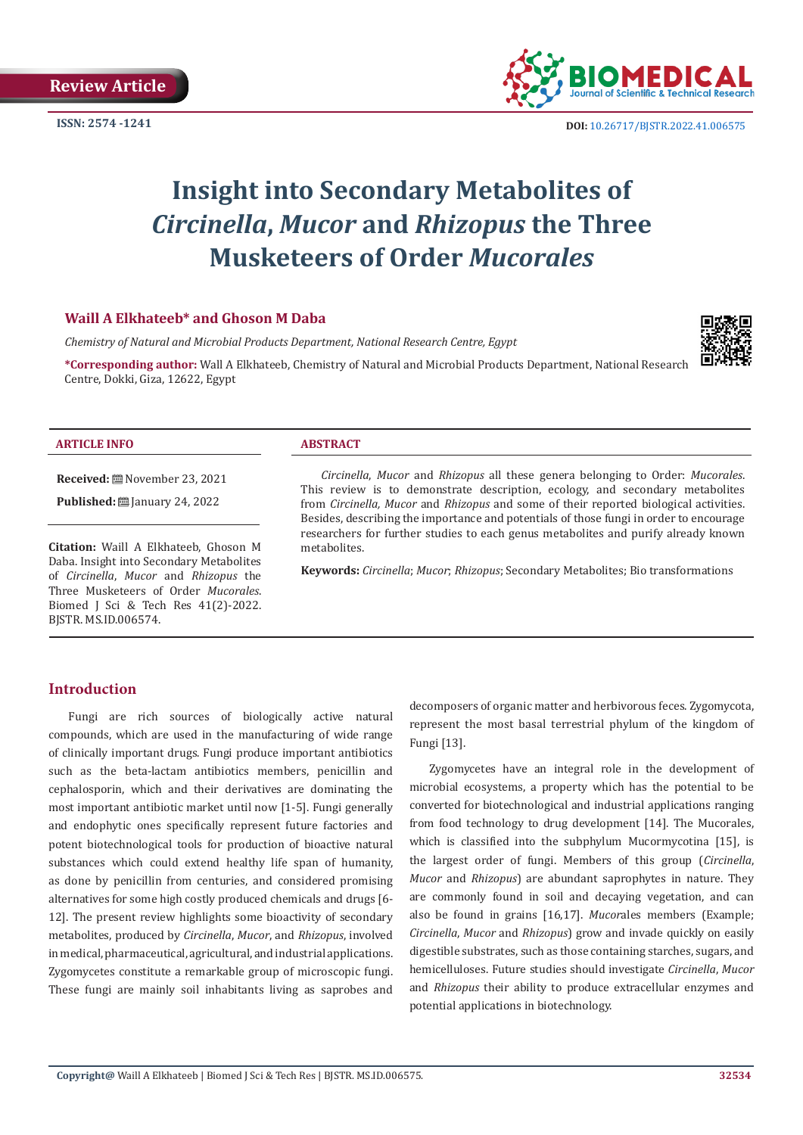

**ISSN:** 2574 -1241 **DOI:** [10.26717/BJSTR.2022.41.006575](https://dx.doi.org/10.26717/BJSTR.2022.41.006575)

# **Insight into Secondary Metabolites of**  *Circinella***,** *Mucor* **and** *Rhizopus* **the Three Musketeers of Order** *Mucorales*

# **Waill A Elkhateeb\* and Ghoson M Daba**

*Chemistry of Natural and Microbial Products Department, National Research Centre, Egypt*

**\*Corresponding author:** Wall A Elkhateeb, Chemistry of Natural and Microbial Products Department, National Research Centre, Dokki, Giza, 12622, Egypt



#### **ARTICLE INFO ABSTRACT**

**Received:** November 23, 2021

**Published:** [2010] January 24, 2022

**Citation:** Waill A Elkhateeb, Ghoson M Daba. Insight into Secondary Metabolites of *Circinella*, *Mucor* and *Rhizopus* the Three Musketeers of Order *Mucorales*. Biomed J Sci & Tech Res 41(2)-2022. BJSTR. MS.ID.006574.

*Circinella*, *Mucor* and *Rhizopus* all these genera belonging to Order: *Mucorales*. This review is to demonstrate description, ecology, and secondary metabolites from *Circinella, Mucor* and *Rhizopus* and some of their reported biological activities. Besides, describing the importance and potentials of those fungi in order to encourage researchers for further studies to each genus metabolites and purify already known metabolites.

**Keywords:** *Circinella*; *Mucor*; *Rhizopus*; Secondary Metabolites; Bio transformations

# **Introduction**

Fungi are rich sources of biologically active natural compounds, which are used in the manufacturing of wide range of clinically important drugs. Fungi produce important antibiotics such as the beta-lactam antibiotics members, penicillin and cephalosporin, which and their derivatives are dominating the most important antibiotic market until now [1-5]. Fungi generally and endophytic ones specifically represent future factories and potent biotechnological tools for production of bioactive natural substances which could extend healthy life span of humanity, as done by penicillin from centuries, and considered promising alternatives for some high costly produced chemicals and drugs [6- 12]. The present review highlights some bioactivity of secondary metabolites, produced by *Circinella*, *Mucor*, and *Rhizopus*, involved in medical, pharmaceutical, agricultural, and industrial applications. Zygomycetes constitute a remarkable group of microscopic fungi. These fungi are mainly soil inhabitants living as saprobes and

decomposers of organic matter and herbivorous feces. Zygomycota, represent the most basal terrestrial phylum of the kingdom of Fungi [13].

Zygomycetes have an integral role in the development of microbial ecosystems, a property which has the potential to be converted for biotechnological and industrial applications ranging from food technology to drug development [14]. The Mucorales, which is classified into the subphylum Mucormycotina [15], is the largest order of fungi. Members of this group (*Circinella*, *Mucor* and *Rhizopus*) are abundant saprophytes in nature. They are commonly found in soil and decaying vegetation, and can also be found in grains [16,17]. *Mucor*ales members (Example; *Circinella*, *Mucor* and *Rhizopus*) grow and invade quickly on easily digestible substrates, such as those containing starches, sugars, and hemicelluloses. Future studies should investigate *Circinella*, *Mucor* and *Rhizopus* their ability to produce extracellular enzymes and potential applications in biotechnology.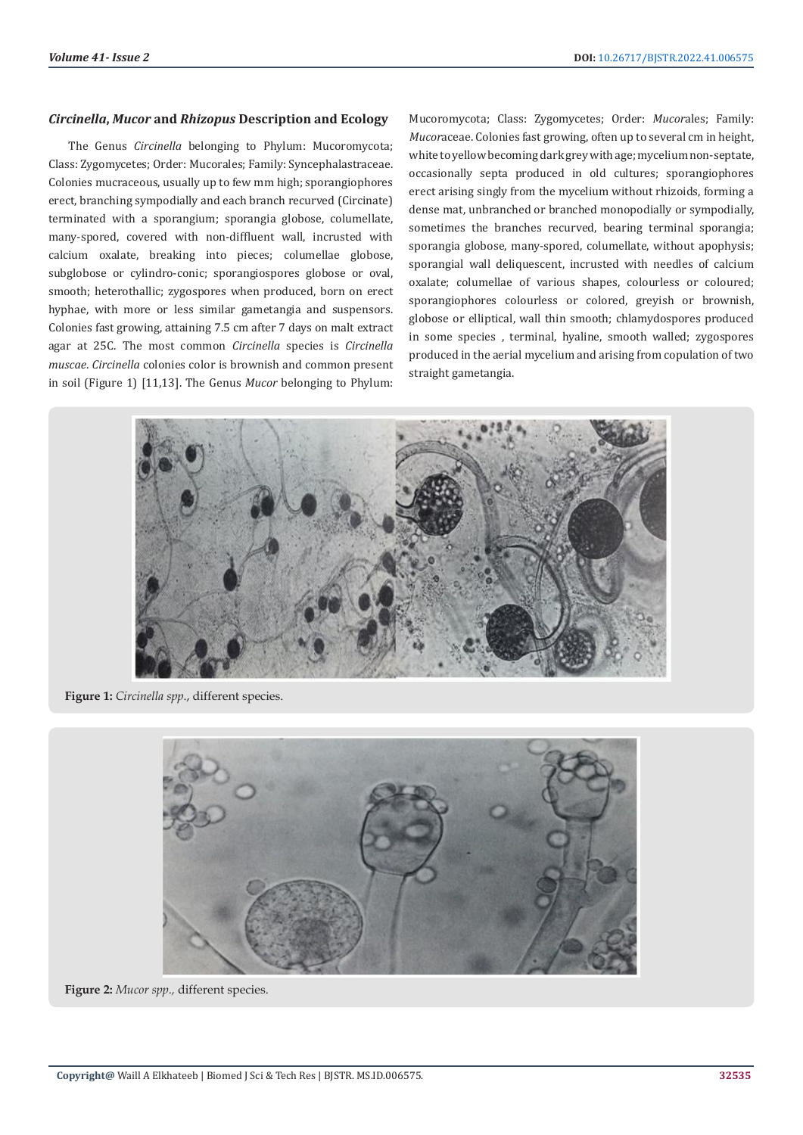#### *Circinella***,** *Mucor* **and** *Rhizopus* **Description and Ecology**

The Genus *Circinella* belonging to Phylum: Mucoromycota; Class: Zygomycetes; Order: Mucorales; Family: Syncephalastraceae. Colonies mucraceous, usually up to few mm high; sporangiophores erect, branching sympodially and each branch recurved (Circinate) terminated with a sporangium; sporangia globose, columellate, many-spored, covered with non-diffluent wall, incrusted with calcium oxalate, breaking into pieces; columellae globose, subglobose or cylindro-conic; sporangiospores globose or oval, smooth; heterothallic; zygospores when produced, born on erect hyphae, with more or less similar gametangia and suspensors. Colonies fast growing, attaining 7.5 cm after 7 days on malt extract agar at 25C. The most common *Circinella* species is *Circinella muscae*. *Circinella* colonies color is brownish and common present in soil (Figure 1) [11,13]. The Genus *Mucor* belonging to Phylum: Mucoromycota; Class: Zygomycetes; Order: *Mucor*ales; Family: *Mucor*aceae. Colonies fast growing, often up to several cm in height, white to yellow becoming dark grey with age; mycelium non-septate, occasionally septa produced in old cultures; sporangiophores erect arising singly from the mycelium without rhizoids, forming a dense mat, unbranched or branched monopodially or sympodially, sometimes the branches recurved, bearing terminal sporangia; sporangia globose, many-spored, columellate, without apophysis; sporangial wall deliquescent, incrusted with needles of calcium oxalate; columellae of various shapes, colourless or coloured; sporangiophores colourless or colored, greyish or brownish, globose or elliptical, wall thin smooth; chlamydospores produced in some species , terminal, hyaline, smooth walled; zygospores produced in the aerial mycelium and arising from copulation of two straight gametangia.



**Figure 1:** *Circinella spp*., different species.



**Figure 2:** *Mucor spp.,* different species.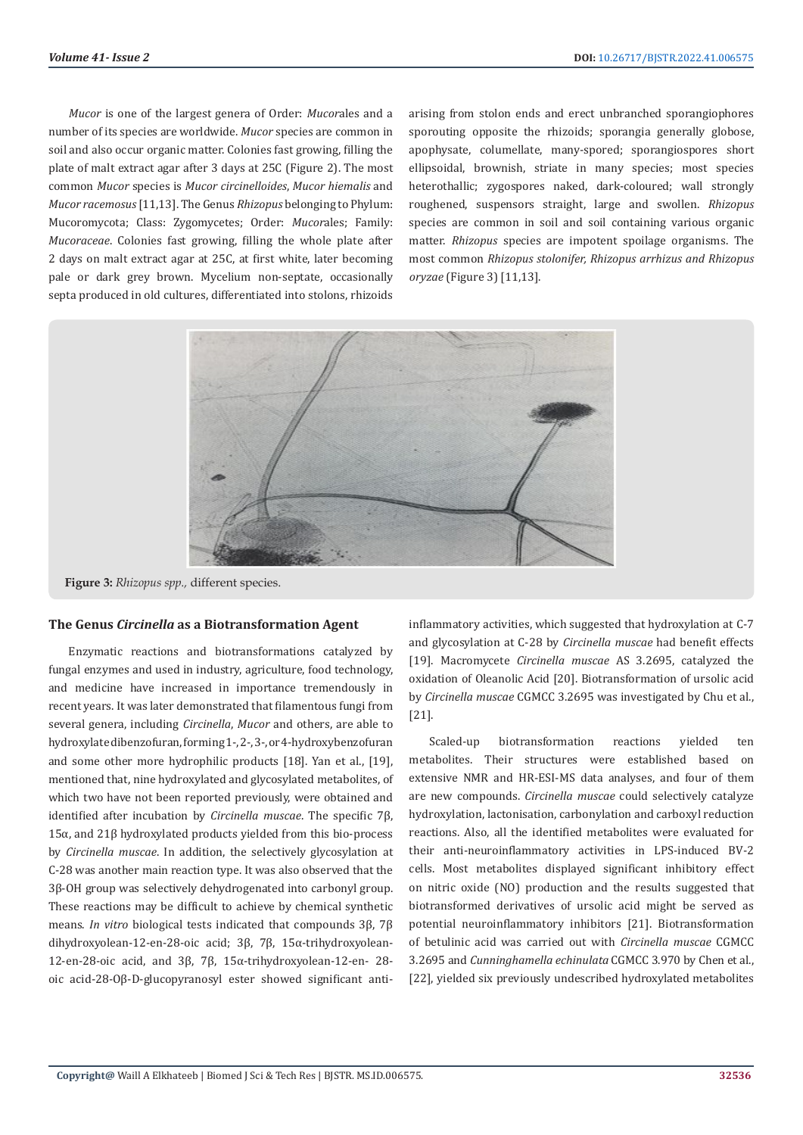*Mucor* is one of the largest genera of Order: *Mucor*ales and a number of its species are worldwide. *Mucor* species are common in soil and also occur organic matter. Colonies fast growing, filling the plate of malt extract agar after 3 days at 25C (Figure 2). The most common *Mucor* species is *Mucor circinelloides*, *Mucor hiemalis* and *Mucor racemosus* [11,13]. The Genus *Rhizopus* belonging to Phylum: Mucoromycota; Class: Zygomycetes; Order: *Mucor*ales; Family: *Mucoraceae*. Colonies fast growing, filling the whole plate after 2 days on malt extract agar at 25C, at first white, later becoming pale or dark grey brown. Mycelium non-septate, occasionally septa produced in old cultures, differentiated into stolons, rhizoids

arising from stolon ends and erect unbranched sporangiophores sporouting opposite the rhizoids; sporangia generally globose, apophysate, columellate, many-spored; sporangiospores short ellipsoidal, brownish, striate in many species; most species heterothallic; zygospores naked, dark-coloured; wall strongly roughened, suspensors straight, large and swollen. *Rhizopus* species are common in soil and soil containing various organic matter. *Rhizopus* species are impotent spoilage organisms. The most common *Rhizopus stolonifer, Rhizopus arrhizus and Rhizopus oryzae* (Figure 3) [11,13].



**Figure 3:** *Rhizopus spp.,* different species.

### **The Genus** *Circinella* **as a Biotransformation Agent**

Enzymatic reactions and biotransformations catalyzed by fungal enzymes and used in industry, agriculture, food technology, and medicine have increased in importance tremendously in recent years. It was later demonstrated that filamentous fungi from several genera, including *Circinella*, *Mucor* and others, are able to hydroxylate dibenzofuran, forming 1-, 2-, 3-, or 4-hydroxybenzofuran and some other more hydrophilic products [18]. Yan et al., [19], mentioned that, nine hydroxylated and glycosylated metabolites, of which two have not been reported previously, were obtained and identified after incubation by *Circinella muscae*. The specific 7β, 15α, and 21β hydroxylated products yielded from this bio-process by *Circinella muscae*. In addition, the selectively glycosylation at C-28 was another main reaction type. It was also observed that the 3β-OH group was selectively dehydrogenated into carbonyl group. These reactions may be difficult to achieve by chemical synthetic means. *In vitro* biological tests indicated that compounds 3β, 7β dihydroxyolean-12-en-28-oic acid; 3β, 7β, 15α-trihydroxyolean-12-en-28-oic acid, and 3β, 7β, 15α-trihydroxyolean-12-en- 28 oic acid-28-Oβ-D-glucopyranosyl ester showed significant antiinflammatory activities, which suggested that hydroxylation at C-7 and glycosylation at C-28 by *Circinella muscae* had benefit effects [19]. Macromycete *Circinella muscae* AS 3.2695, catalyzed the oxidation of Oleanolic Acid [20]. Biotransformation of ursolic acid by *Circinella muscae* CGMCC 3.2695 was investigated by Chu et al., [21].

Scaled-up biotransformation reactions yielded ten metabolites. Their structures were established based on extensive NMR and HR-ESI-MS data analyses, and four of them are new compounds. *Circinella muscae* could selectively catalyze hydroxylation, lactonisation, carbonylation and carboxyl reduction reactions. Also, all the identified metabolites were evaluated for their anti-neuroinflammatory activities in LPS-induced BV-2 cells. Most metabolites displayed significant inhibitory effect on nitric oxide (NO) production and the results suggested that biotransformed derivatives of ursolic acid might be served as potential neuroinflammatory inhibitors [21]. Biotransformation of betulinic acid was carried out with *Circinella muscae* CGMCC 3.2695 and *Cunninghamella echinulata* CGMCC 3.970 by Chen et al., [22], yielded six previously undescribed hydroxylated metabolites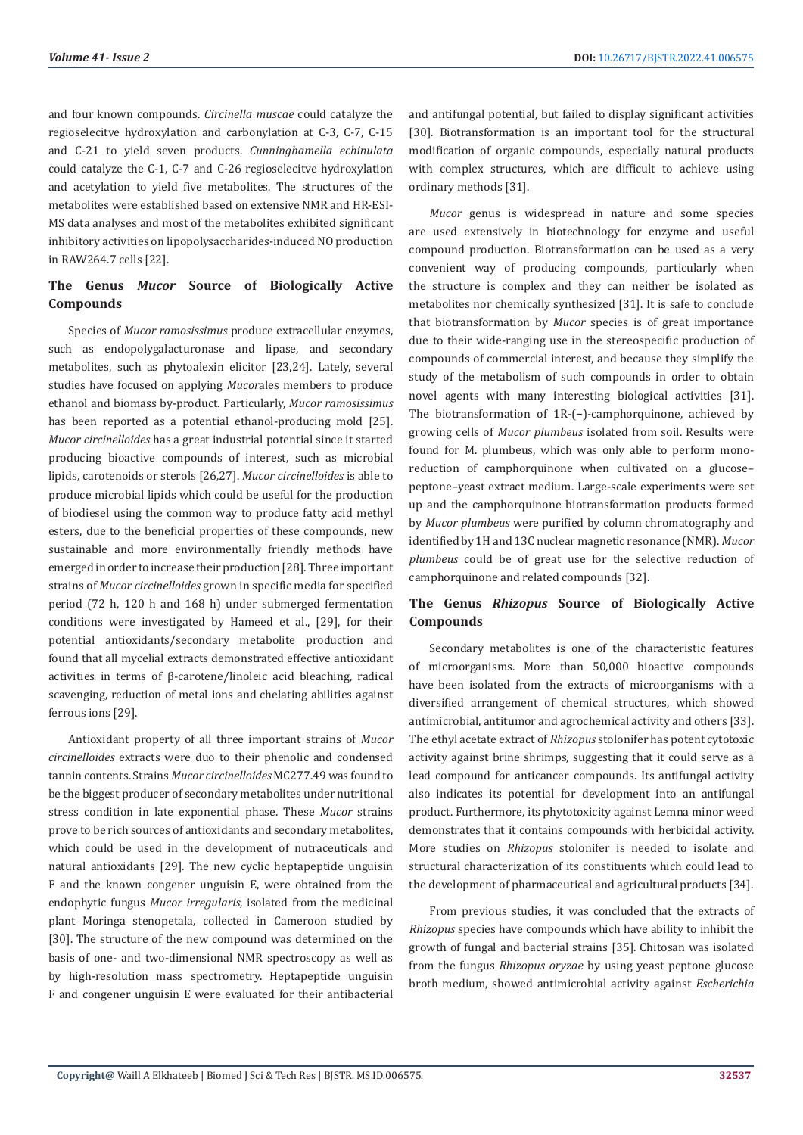and four known compounds. *Circinella muscae* could catalyze the regioselecitve hydroxylation and carbonylation at C-3, C-7, C-15 and C-21 to yield seven products. *Cunninghamella echinulata*  could catalyze the C-1, C-7 and C-26 regioselecitve hydroxylation and acetylation to yield five metabolites. The structures of the metabolites were established based on extensive NMR and HR-ESI-MS data analyses and most of the metabolites exhibited significant inhibitory activities on lipopolysaccharides-induced NO production in RAW264.7 cells [22].

# **The Genus** *Mucor* **Source of Biologically Active Compounds**

Species of *Mucor ramosissimus* produce extracellular enzymes, such as endopolygalacturonase and lipase, and secondary metabolites, such as phytoalexin elicitor [23,24]. Lately, several studies have focused on applying *Mucor*ales members to produce ethanol and biomass by-product. Particularly, *Mucor ramosissimus* has been reported as a potential ethanol-producing mold [25]. *Mucor circinelloides* has a great industrial potential since it started producing bioactive compounds of interest, such as microbial lipids, carotenoids or sterols [26,27]. *Mucor circinelloides* is able to produce microbial lipids which could be useful for the production of biodiesel using the common way to produce fatty acid methyl esters, due to the beneficial properties of these compounds, new sustainable and more environmentally friendly methods have emerged in order to increase their production [28].Three important strains of *Mucor circinelloides* grown in specific media for specified period (72 h, 120 h and 168 h) under submerged fermentation conditions were investigated by Hameed et al., [29], for their potential antioxidants/secondary metabolite production and found that all mycelial extracts demonstrated effective antioxidant activities in terms of β-carotene/linoleic acid bleaching, radical scavenging, reduction of metal ions and chelating abilities against ferrous ions [29].

Antioxidant property of all three important strains of *Mucor circinelloides* extracts were duo to their phenolic and condensed tannin contents. Strains *Mucor circinelloides* MC277.49 was found to be the biggest producer of secondary metabolites under nutritional stress condition in late exponential phase. These *Mucor* strains prove to be rich sources of antioxidants and secondary metabolites, which could be used in the development of nutraceuticals and natural antioxidants [29]. The new cyclic heptapeptide unguisin F and the known congener unguisin E, were obtained from the endophytic fungus *Mucor irregularis*, isolated from the medicinal plant Moringa stenopetala, collected in Cameroon studied by [30]. The structure of the new compound was determined on the basis of one- and two-dimensional NMR spectroscopy as well as by high-resolution mass spectrometry. Heptapeptide unguisin F and congener unguisin E were evaluated for their antibacterial

and antifungal potential, but failed to display significant activities [30]. Biotransformation is an important tool for the structural modification of organic compounds, especially natural products with complex structures, which are difficult to achieve using ordinary methods [31].

*Mucor* genus is widespread in nature and some species are used extensively in biotechnology for enzyme and useful compound production. Biotransformation can be used as a very convenient way of producing compounds, particularly when the structure is complex and they can neither be isolated as metabolites nor chemically synthesized [31]. It is safe to conclude that biotransformation by *Mucor* species is of great importance due to their wide-ranging use in the stereospecific production of compounds of commercial interest, and because they simplify the study of the metabolism of such compounds in order to obtain novel agents with many interesting biological activities [31]. The biotransformation of 1R-(−)-camphorquinone, achieved by growing cells of *Mucor plumbeus* isolated from soil. Results were found for M. plumbeus, which was only able to perform monoreduction of camphorquinone when cultivated on a glucosepeptone–yeast extract medium. Large-scale experiments were set up and the camphorquinone biotransformation products formed by *Mucor plumbeus* were purified by column chromatography and identified by 1H and 13C nuclear magnetic resonance (NMR). *Mucor plumbeus* could be of great use for the selective reduction of camphorquinone and related compounds [32].

# **The Genus** *Rhizopus* **Source of Biologically Active Compounds**

Secondary metabolites is one of the characteristic features of microorganisms. More than 50,000 bioactive compounds have been isolated from the extracts of microorganisms with a diversified arrangement of chemical structures, which showed antimicrobial, antitumor and agrochemical activity and others [33]. The ethyl acetate extract of *Rhizopus* stolonifer has potent cytotoxic activity against brine shrimps, suggesting that it could serve as a lead compound for anticancer compounds. Its antifungal activity also indicates its potential for development into an antifungal product. Furthermore, its phytotoxicity against Lemna minor weed demonstrates that it contains compounds with herbicidal activity. More studies on *Rhizopus* stolonifer is needed to isolate and structural characterization of its constituents which could lead to the development of pharmaceutical and agricultural products [34].

From previous studies, it was concluded that the extracts of *Rhizopus* species have compounds which have ability to inhibit the growth of fungal and bacterial strains [35]. Chitosan was isolated from the fungus *Rhizopus oryzae* by using yeast peptone glucose broth medium, showed antimicrobial activity against *Escherichia*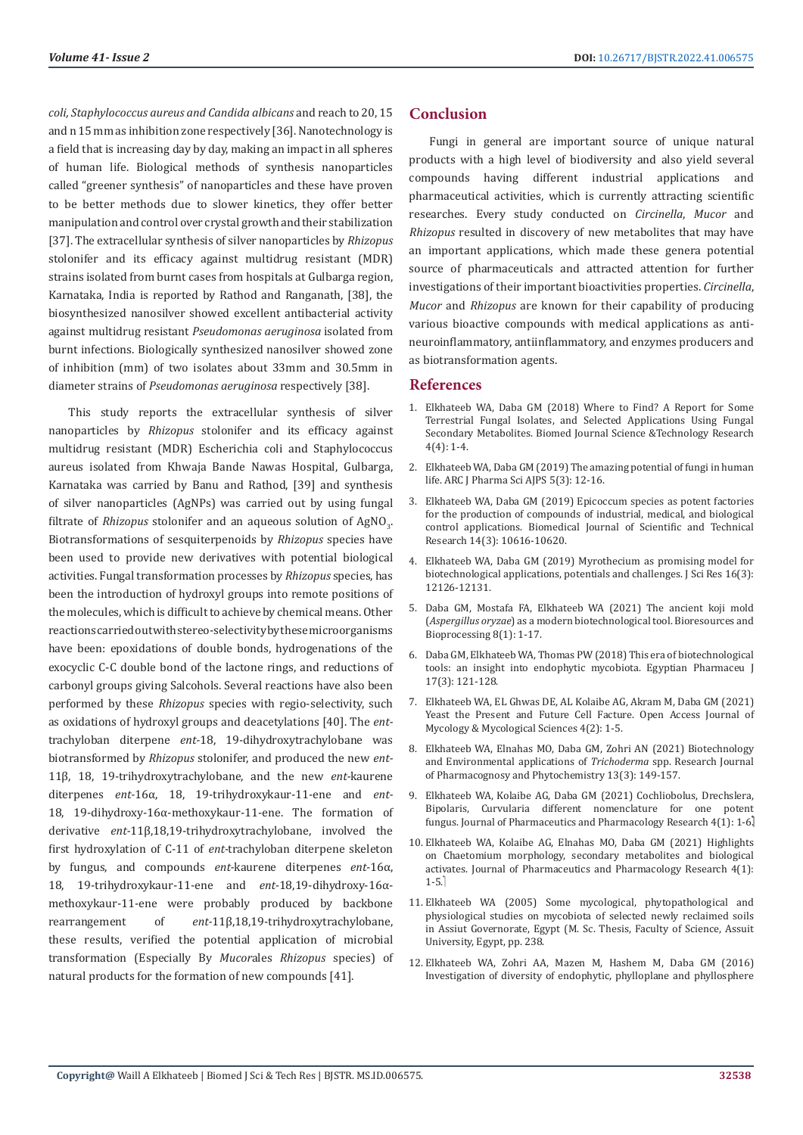*coli, Staphylococcus aureus and Candida albicans* and reach to 20, 15 and n 15 mm as inhibition zone respectively [36]. Nanotechnology is a field that is increasing day by day, making an impact in all spheres of human life. Biological methods of synthesis nanoparticles called "greener synthesis" of nanoparticles and these have proven to be better methods due to slower kinetics, they offer better manipulation and control over crystal growth and their stabilization [37]. The extracellular synthesis of silver nanoparticles by *Rhizopus* stolonifer and its efficacy against multidrug resistant (MDR) strains isolated from burnt cases from hospitals at Gulbarga region, Karnataka, India is reported by Rathod and Ranganath, [38], the biosynthesized nanosilver showed excellent antibacterial activity against multidrug resistant *Pseudomonas aeruginosa* isolated from burnt infections. Biologically synthesized nanosilver showed zone of inhibition (mm) of two isolates about 33mm and 30.5mm in diameter strains of *Pseudomonas aeruginosa* respectively [38].

This study reports the extracellular synthesis of silver nanoparticles by *Rhizopus* stolonifer and its efficacy against multidrug resistant (MDR) Escherichia coli and Staphylococcus aureus isolated from Khwaja Bande Nawas Hospital, Gulbarga, Karnataka was carried by Banu and Rathod, [39] and synthesis of silver nanoparticles (AgNPs) was carried out by using fungal filtrate of *Rhizopus* stolonifer and an aqueous solution of  $AgNO<sub>3</sub>$ . Biotransformations of sesquiterpenoids by *Rhizopus* species have been used to provide new derivatives with potential biological activities. Fungal transformation processes by *Rhizopus* species, has been the introduction of hydroxyl groups into remote positions of the molecules, which is difficult to achieve by chemical means. Other reactions carried out with stereo-selectivity by these microorganisms have been: epoxidations of double bonds, hydrogenations of the exocyclic C-C double bond of the lactone rings, and reductions of carbonyl groups giving Salcohols. Several reactions have also been performed by these *Rhizopus* species with regio-selectivity, such as oxidations of hydroxyl groups and deacetylations [40]. The *ent*trachyloban diterpene *ent-*18, 19-dihydroxytrachylobane was biotransformed by *Rhizopus* stolonifer, and produced the new *ent-*11β, 18, 19-trihydroxytrachylobane, and the new *ent-*kaurene diterpenes *ent-*16α, 18, 19-trihydroxykaur-11-ene and *ent-*18, 19-dihydroxy-16α-methoxykaur-11-ene. The formation of derivative *ent-*11β,18,19-trihydroxytrachylobane, involved the first hydroxylation of C-11 of *ent-*trachyloban diterpene skeleton by fungus, and compounds *ent-*kaurene diterpenes *ent-*16α, 18, 19-trihydroxykaur-11-ene and *ent-*18,19-dihydroxy-16αmethoxykaur-11-ene were probably produced by backbone rearrangement of *ent-*11β,18,19-trihydroxytrachylobane, these results, verified the potential application of microbial transformation (Especially By *Mucor*ales *Rhizopus* species) of natural products for the formation of new compounds [41].

# **Conclusion**

Fungi in general are important source of unique natural products with a high level of biodiversity and also yield several compounds having different industrial applications and pharmaceutical activities, which is currently attracting scientific researches. Every study conducted on *Circinella*, *Mucor* and *Rhizopus* resulted in discovery of new metabolites that may have an important applications, which made these genera potential source of pharmaceuticals and attracted attention for further investigations of their important bioactivities properties. *Circinella*, *Mucor* and *Rhizopus* are known for their capability of producing various bioactive compounds with medical applications as antineuroinflammatory, antiinflammatory, and enzymes producers and as biotransformation agents.

#### **References**

- 1. [Elkhateeb WA, Daba GM \(2018\) Where to Find? A Report for Some](https://ideas.repec.org/a/abf/journl/v4y2018i3p4000-4003.html) [Terrestrial Fungal Isolates, and Selected Applications Using Fungal](https://ideas.repec.org/a/abf/journl/v4y2018i3p4000-4003.html) [Secondary Metabolites. Biomed Journal Science &Technology Research](https://ideas.repec.org/a/abf/journl/v4y2018i3p4000-4003.html) [4\(4\): 1-4.](https://ideas.repec.org/a/abf/journl/v4y2018i3p4000-4003.html)
- 2. [Elkhateeb WA, Daba GM \(2019\) The amazing potential of fungi in human](https://www.researchgate.net/publication/334612566_The_Amazing_Potential_of_Fungi_in_Human_Life) life. [ARC J Pharma Sci AJPS 5\(3\): 12-16.](https://www.researchgate.net/publication/334612566_The_Amazing_Potential_of_Fungi_in_Human_Life)
- 3. [Elkhateeb WA, Daba GM \(2019\) Epicoccum species as potent factories](https://biomedres.us/pdfs/BJSTR.MS.ID.002541.pdf) [for the production of compounds of industrial, medical, and biological](https://biomedres.us/pdfs/BJSTR.MS.ID.002541.pdf) control applications. [Biomedical Journal of Scientific and Technical](https://biomedres.us/pdfs/BJSTR.MS.ID.002541.pdf) [Research 14\(3\): 10616-10620.](https://biomedres.us/pdfs/BJSTR.MS.ID.002541.pdf)
- 4. [Elkhateeb WA, Daba GM \(2019\) Myrothecium as promising model for](https://biomedres.us/pdfs/BJSTR.MS.ID.002869.pdf) [biotechnological applications, potentials and challenges.](https://biomedres.us/pdfs/BJSTR.MS.ID.002869.pdf) J Sci Res 16(3): [12126-12131.](https://biomedres.us/pdfs/BJSTR.MS.ID.002869.pdf)
- 5. [Daba GM, Mostafa FA, Elkhateeb WA \(2021\) The ancient koji mold](https://bioresourcesbioprocessing.springeropen.com/articles/10.1186/s40643-021-00408-z) (*Aspergillus oryzae*[\) as a modern biotechnological tool.](https://bioresourcesbioprocessing.springeropen.com/articles/10.1186/s40643-021-00408-z) Bioresources and [Bioprocessing 8\(1\): 1-17.](https://bioresourcesbioprocessing.springeropen.com/articles/10.1186/s40643-021-00408-z)
- 6. [Daba GM, Elkhateeb WA, Thomas PW \(2018\) This era of biotechnological](https://www.researchgate.net/publication/329482694_This_era_biotechnological_tools_an_insight_into_endophytic_mycobiota) [tools: an insight into endophytic mycobiota. Egyptian Pharmaceu J](https://www.researchgate.net/publication/329482694_This_era_biotechnological_tools_an_insight_into_endophytic_mycobiota) [17\(3\): 121-128.](https://www.researchgate.net/publication/329482694_This_era_biotechnological_tools_an_insight_into_endophytic_mycobiota)
- 7. [Elkhateeb WA, EL Ghwas DE, AL Kolaibe AG, Akram M, Daba GM \(2021\)](https://www.researchgate.net/publication/353515178_Yeast_the_Present_and_Future_Cell_Facture) [Yeast the Present and Future Cell Facture. Open Access Journal of](https://www.researchgate.net/publication/353515178_Yeast_the_Present_and_Future_Cell_Facture) [Mycology & Mycological Sciences 4\(2\): 1-5.](https://www.researchgate.net/publication/353515178_Yeast_the_Present_and_Future_Cell_Facture)
- 8. [Elkhateeb WA, Elnahas MO, Daba GM, Zohri AN \(2021\) Biotechnology](https://rjpponline.org/AbstractView.aspx?PID=2021-13-3-8) [and Environmental applications of](https://rjpponline.org/AbstractView.aspx?PID=2021-13-3-8) *Trichoderma* spp. Research Journal [of Pharmacognosy and Phytochemistry](https://rjpponline.org/AbstractView.aspx?PID=2021-13-3-8) 13(3): 149-157.
- 9. [Elkhateeb WA, Kolaibe AG, Daba GM \(2021\) Cochliobolus, Drechslera,](https://www.researchgate.net/publication/348973616_Cochliobolus_Drechslera_Bipolaris_Curvularia_different_nomenclature_for_one_potent_fungus) [Bipolaris, Curvularia different nomenclature for one potent](https://www.researchgate.net/publication/348973616_Cochliobolus_Drechslera_Bipolaris_Curvularia_different_nomenclature_for_one_potent_fungus) fungus. [Journal of Pharmaceutics and Pharmacology Research](https://www.researchgate.net/publication/348973616_Cochliobolus_Drechslera_Bipolaris_Curvularia_different_nomenclature_for_one_potent_fungus)  $4(1)$ : 1-6.
- 10. [Elkhateeb WA, Kolaibe AG, Elnahas MO, Daba GM \(2021\) Highlights](https://www.researchgate.net/publication/348973409_Highlights_on_Chaetomium_morphology_secondary_metabolites_and_biological_activates) [on Chaetomium morphology, secondary metabolites and biological](https://www.researchgate.net/publication/348973409_Highlights_on_Chaetomium_morphology_secondary_metabolites_and_biological_activates) [activates. Journal of Pharmaceutics and Pharmacology Research 4\(1\):](https://www.researchgate.net/publication/348973409_Highlights_on_Chaetomium_morphology_secondary_metabolites_and_biological_activates) [1-5.](https://www.researchgate.net/publication/348973409_Highlights_on_Chaetomium_morphology_secondary_metabolites_and_biological_activates)
- 11. [Elkhateeb WA \(2005\) Some mycological, phytopathological and](http://search.mandumah.com/Record/535230) [physiological studies on mycobiota of selected newly reclaimed soils](http://search.mandumah.com/Record/535230) [in Assiut Governorate, Egypt \(M. Sc. Thesis, Faculty of Science, Assuit](http://search.mandumah.com/Record/535230) [University, Egypt, pp. 238.](http://search.mandumah.com/Record/535230)
- 12. [Elkhateeb WA, Zohri AA, Mazen M, Hashem M, Daba GM \(2016\)](https://www.researchgate.net/publication/322132422_Investigation_of_diversity_of_endophytic_phylloplane_and_phyllosphere_mycobiota_isolated_from_different_cultivated_plants_in_new_reclaimed_soil_Upper_Egypt_with_potential_biological_applications) [Investigation of diversity of endophytic, phylloplane and phyllosphere](https://www.researchgate.net/publication/322132422_Investigation_of_diversity_of_endophytic_phylloplane_and_phyllosphere_mycobiota_isolated_from_different_cultivated_plants_in_new_reclaimed_soil_Upper_Egypt_with_potential_biological_applications)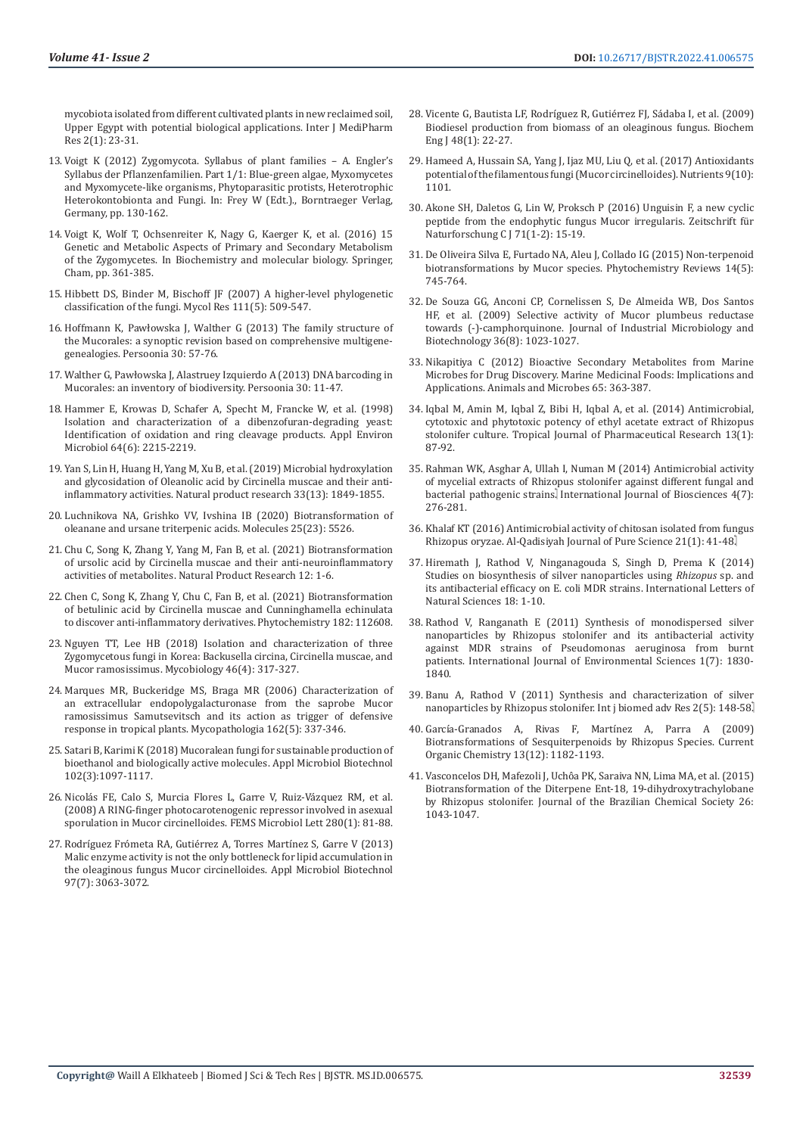[mycobiota isolated from different cultivated plants in new reclaimed soil,](https://www.researchgate.net/publication/322132422_Investigation_of_diversity_of_endophytic_phylloplane_and_phyllosphere_mycobiota_isolated_from_different_cultivated_plants_in_new_reclaimed_soil_Upper_Egypt_with_potential_biological_applications)  [Upper Egypt with potential biological applications. Inter J MediPharm](https://www.researchgate.net/publication/322132422_Investigation_of_diversity_of_endophytic_phylloplane_and_phyllosphere_mycobiota_isolated_from_different_cultivated_plants_in_new_reclaimed_soil_Upper_Egypt_with_potential_biological_applications)  [Res 2\(1\): 23-31.](https://www.researchgate.net/publication/322132422_Investigation_of_diversity_of_endophytic_phylloplane_and_phyllosphere_mycobiota_isolated_from_different_cultivated_plants_in_new_reclaimed_soil_Upper_Egypt_with_potential_biological_applications)

- 13. [Voigt K \(2012\) Zygomycota. Syllabus of plant families A. Engler's](https://www.nhbs.com/syllabus-of-plant-families-volume-1-part-1-blue-green-algae-myxomycetes-and-myxomycete-like-organisms-phytoparasitic-protists-heterotrophic-heterokontobionta-and-fungi-pp-book)  [Syllabus der Pflanzenfamilien. Part 1/1: Blue-green algae, Myxomycetes](https://www.nhbs.com/syllabus-of-plant-families-volume-1-part-1-blue-green-algae-myxomycetes-and-myxomycete-like-organisms-phytoparasitic-protists-heterotrophic-heterokontobionta-and-fungi-pp-book)  [and Myxomycete-like organisms, Phytoparasitic protists, Heterotrophic](https://www.nhbs.com/syllabus-of-plant-families-volume-1-part-1-blue-green-algae-myxomycetes-and-myxomycete-like-organisms-phytoparasitic-protists-heterotrophic-heterokontobionta-and-fungi-pp-book)  [Heterokontobionta and Fungi. In: Frey W \(Edt.\)., Borntraeger Verlag,](https://www.nhbs.com/syllabus-of-plant-families-volume-1-part-1-blue-green-algae-myxomycetes-and-myxomycete-like-organisms-phytoparasitic-protists-heterotrophic-heterokontobionta-and-fungi-pp-book)  [Germany, pp. 130-162.](https://www.nhbs.com/syllabus-of-plant-families-volume-1-part-1-blue-green-algae-myxomycetes-and-myxomycete-like-organisms-phytoparasitic-protists-heterotrophic-heterokontobionta-and-fungi-pp-book)
- 14. [Voigt K, Wolf T, Ochsenreiter K, Nagy G, Kaerger K, et al. \(2016\) 15](https://link.springer.com/chapter/10.1007/978-3-319-27790-5_15)  [Genetic and Metabolic Aspects of Primary and Secondary Metabolism](https://link.springer.com/chapter/10.1007/978-3-319-27790-5_15)  of the Zygomycetes. In [Biochemistry and molecular biology. Springer,](https://link.springer.com/chapter/10.1007/978-3-319-27790-5_15)  [Cham, pp. 361-385.](https://link.springer.com/chapter/10.1007/978-3-319-27790-5_15)
- 15. [Hibbett DS, Binder M, Bischoff JF \(2007\) A higher-level phylogenetic](https://www.sciencedirect.com/science/article/abs/pii/S0953756207000615)  classification of the fungi. [Mycol Res 111\(5\): 509-547.](https://www.sciencedirect.com/science/article/abs/pii/S0953756207000615)
- 16. [Hoffmann K, Pawłowska J, Walther G \(2013\) The family structure of](https://www.ncbi.nlm.nih.gov/pmc/articles/PMC3734967/)  [the Mucorales: a synoptic revision based on comprehensive multigene](https://www.ncbi.nlm.nih.gov/pmc/articles/PMC3734967/)genealogies. [Persoonia 30: 57-76.](https://www.ncbi.nlm.nih.gov/pmc/articles/PMC3734967/)
- 17. [Walther G, Pawłowska J, Alastruey Izquierdo A \(2013\) DNA barcoding in](https://pubmed.ncbi.nlm.nih.gov/24027345/)  [Mucorales: an inventory of biodiversity.](https://pubmed.ncbi.nlm.nih.gov/24027345/) Persoonia 30: 11-47.
- 18. [Hammer E, Krowas D, Schafer A, Specht M, Francke W, et al. \(1998\)](https://journals.asm.org/doi/10.1128/AEM.64.6.2215-2219.1998)  [Isolation and characterization of a dibenzofuran-degrading yeast:](https://journals.asm.org/doi/10.1128/AEM.64.6.2215-2219.1998)  [Identification of oxidation and ring cleavage products. Appl Environ](https://journals.asm.org/doi/10.1128/AEM.64.6.2215-2219.1998)  [Microbiol 64\(6\): 2215-2219.](https://journals.asm.org/doi/10.1128/AEM.64.6.2215-2219.1998)
- 19. [Yan S, Lin H, Huang H, Yang M, Xu B, et al. \(2019\) Microbial hydroxylation](https://pubmed.ncbi.nlm.nih.gov/29842789/)  [and glycosidation of Oleanolic acid by Circinella muscae and their anti](https://pubmed.ncbi.nlm.nih.gov/29842789/)inflammatory activities. [Natural product research 33\(13\): 1849-1855.](https://pubmed.ncbi.nlm.nih.gov/29842789/)
- 20. [Luchnikova NA, Grishko VV, Ivshina IB \(2020\) Biotransformation of](https://pubmed.ncbi.nlm.nih.gov/33255782/)  [oleanane and ursane triterpenic acids.](https://pubmed.ncbi.nlm.nih.gov/33255782/) Molecules 25(23): 5526.
- 21. [Chu C, Song K, Zhang Y, Yang M, Fan B, et al. \(2021\) Biotransformation](https://pubmed.ncbi.nlm.nih.gov/33977841/)  [of ursolic acid by Circinella muscae and their anti-neuroinflammatory](https://pubmed.ncbi.nlm.nih.gov/33977841/)  activities of metabolites. [Natural Product Research 12: 1-6.](https://pubmed.ncbi.nlm.nih.gov/33977841/)
- 22. [Chen C, Song K, Zhang Y, Chu C, Fan B, et al. \(2021\) Biotransformation](https://www.sciencedirect.com/science/article/abs/pii/S0031942220312231?dgcid=rss_sd_all)  [of betulinic acid by Circinella muscae and Cunninghamella echinulata](https://www.sciencedirect.com/science/article/abs/pii/S0031942220312231?dgcid=rss_sd_all)  [to discover anti-inflammatory derivatives.](https://www.sciencedirect.com/science/article/abs/pii/S0031942220312231?dgcid=rss_sd_all) Phytochemistry 182: 112608.
- 23. [Nguyen TT, Lee HB \(2018\) Isolation and characterization of three](https://www.tandfonline.com/doi/full/10.1080/12298093.2018.1538071)  [Zygomycetous fungi in Korea: Backusella circina, Circinella muscae, and](https://www.tandfonline.com/doi/full/10.1080/12298093.2018.1538071)  Mucor ramosissimus. [Mycobiology 46\(4\): 317-327.](https://www.tandfonline.com/doi/full/10.1080/12298093.2018.1538071)
- 24. [Marques MR, Buckeridge MS, Braga MR \(2006\) Characterization of](https://pubmed.ncbi.nlm.nih.gov/17123032/)  [an extracellular endopolygalacturonase from the saprobe Mucor](https://pubmed.ncbi.nlm.nih.gov/17123032/)  [ramosissimus Samutsevitsch and its action as trigger of defensive](https://pubmed.ncbi.nlm.nih.gov/17123032/)  [response in tropical plants. Mycopathologia 162\(5\): 337-346.](https://pubmed.ncbi.nlm.nih.gov/17123032/)
- 25. [Satari B, Karimi K \(2018\) Mucoralean fungi for sustainable production of](https://pubmed.ncbi.nlm.nih.gov/29247367/)  [bioethanol and biologically active molecules. Appl Microbiol Biotechnol](https://pubmed.ncbi.nlm.nih.gov/29247367/)  [102\(3\):1097-1117.](https://pubmed.ncbi.nlm.nih.gov/29247367/)
- 26. [Nicolás FE, Calo S, Murcia Flores L, Garre V, Ruiz-Vázquez RM, et al.](https://pubmed.ncbi.nlm.nih.gov/18194338/)  [\(2008\) A RING-finger photocarotenogenic repressor involved in asexual](https://pubmed.ncbi.nlm.nih.gov/18194338/)  sporulation in [Mucor circinelloides. FEMS Microbiol Lett 280\(1\): 81-88.](https://pubmed.ncbi.nlm.nih.gov/18194338/)
- 27. [Rodríguez Frómeta RA, Gutiérrez A, Torres Martínez S, Garre V \(2013\)](https://pubmed.ncbi.nlm.nih.gov/23053085/)  [Malic enzyme activity is not the only bottleneck for lipid accumulation in](https://pubmed.ncbi.nlm.nih.gov/23053085/)  the oleaginous fungus [Mucor circinelloides. Appl Microbiol Biotechnol](https://pubmed.ncbi.nlm.nih.gov/23053085/)  [97\(7\): 3063-3072.](https://pubmed.ncbi.nlm.nih.gov/23053085/)
- 28. [Vicente G, Bautista LF, Rodríguez R, Gutiérrez FJ, Sádaba I, et al. \(2009\)](https://www.researchgate.net/publication/223604284_Biodiesel_production_from_biomass_of_an_oleaginous_fungus) [Biodiesel production from biomass of an oleaginous fungus. Biochem](https://www.researchgate.net/publication/223604284_Biodiesel_production_from_biomass_of_an_oleaginous_fungus) [Eng J 48\(1\): 22-27.](https://www.researchgate.net/publication/223604284_Biodiesel_production_from_biomass_of_an_oleaginous_fungus)
- 29. [Hameed A, Hussain SA, Yang J, Ijaz MU, Liu Q, et al. \(2017\) Antioxidants](https://pubmed.ncbi.nlm.nih.gov/28991177/) potential of the filamentous fungi (Mucor circinelloides). Nutrients 9(10): [1101.](https://pubmed.ncbi.nlm.nih.gov/28991177/)
- 30. [Akone SH, Daletos G, Lin W, Proksch P \(2016\) Unguisin F, a new cyclic](https://pubmed.ncbi.nlm.nih.gov/26812868/) [peptide from the endophytic fungus Mucor irregularis.](https://pubmed.ncbi.nlm.nih.gov/26812868/) Zeitschrift für [Naturforschung C J 71\(1-2\): 15-19.](https://pubmed.ncbi.nlm.nih.gov/26812868/)
- 31. [De Oliveira Silva E, Furtado NA, Aleu J, Collado IG \(2015\) Non-terpenoid](https://rodin.uca.es/bitstream/handle/10498/20584/2015-Non-terpenoid%20biotransformations%20by%20Mucor%20species.pdf?sequence=1&isAllowed=y) [biotransformations by Mucor species.](https://rodin.uca.es/bitstream/handle/10498/20584/2015-Non-terpenoid%20biotransformations%20by%20Mucor%20species.pdf?sequence=1&isAllowed=y) Phytochemistry Reviews 14(5): [745-764.](https://rodin.uca.es/bitstream/handle/10498/20584/2015-Non-terpenoid%20biotransformations%20by%20Mucor%20species.pdf?sequence=1&isAllowed=y)
- 32. [De Souza GG, Anconi CP, Cornelissen S, De Almeida WB, Dos Santos](https://academic.oup.com/jimb/article/36/8/1023/5993610) [HF, et al. \(2009\) Selective activity of Mucor plumbeus reductase](https://academic.oup.com/jimb/article/36/8/1023/5993610) towards (-)-camphorquinone. [Journal of Industrial Microbiology and](https://academic.oup.com/jimb/article/36/8/1023/5993610) Biotechnology [36\(8\): 1023-1027.](https://academic.oup.com/jimb/article/36/8/1023/5993610)
- 33. [Nikapitiya C \(2012\) Bioactive Secondary Metabolites from Marine](https://pubmed.ncbi.nlm.nih.gov/22361200/) [Microbes for Drug Discovery. Marine Medicinal Foods: Implications and](https://pubmed.ncbi.nlm.nih.gov/22361200/) [Applications. Animals and Microbes 65: 363-387.](https://pubmed.ncbi.nlm.nih.gov/22361200/)
- 34. [Iqbal M, Amin M, Iqbal Z, Bibi H, Iqbal A, et al. \(2014\) Antimicrobial,](file:///C:\Users\Admin\AppData\Local\Temp\101028-Article%20Text-268146-1-10-20140213.pdf) [cytotoxic and phytotoxic potency of ethyl acetate extract of Rhizopus](file:///C:\Users\Admin\AppData\Local\Temp\101028-Article%20Text-268146-1-10-20140213.pdf) stolonifer culture. [Tropical Journal of Pharmaceutical Research 13\(1\):](file:///C:\Users\Admin\AppData\Local\Temp\101028-Article%20Text-268146-1-10-20140213.pdf) [87-92.](file:///C:\Users\Admin\AppData\Local\Temp\101028-Article%20Text-268146-1-10-20140213.pdf)
- 35. [Rahman WK, Asghar A, Ullah I, Numan M \(2014\) Antimicrobial activity](https://www.researchgate.net/publication/272817630_antimicrobial_activity_of_mycelial_extracts_of_Rhizopus_stolonifer_against_different_fungal_and_bacterial_pathogenic_strains_Sohail) [of mycelial extracts of Rhizopus stolonifer against different fungal and](https://www.researchgate.net/publication/272817630_antimicrobial_activity_of_mycelial_extracts_of_Rhizopus_stolonifer_against_different_fungal_and_bacterial_pathogenic_strains_Sohail) bacterial pathogenic strains. [International Journal of Biosciences 4\(7\):](https://www.researchgate.net/publication/272817630_antimicrobial_activity_of_mycelial_extracts_of_Rhizopus_stolonifer_against_different_fungal_and_bacterial_pathogenic_strains_Sohail) [276-281.](https://www.researchgate.net/publication/272817630_antimicrobial_activity_of_mycelial_extracts_of_Rhizopus_stolonifer_against_different_fungal_and_bacterial_pathogenic_strains_Sohail)
- 36. [Khalaf KT \(2016\) Antimicrobial activity of chitosan isolated from fungus](https://qu.edu.iq/journalsc/index.php/JOPS/article/view/822) Rhizopus oryzae. [Al-Qadisiyah Journal of Pure Science](https://qu.edu.iq/journalsc/index.php/JOPS/article/view/822) 21(1): 41-48.
- 37. [Hiremath J, Rathod V, Ninganagouda S, Singh D, Prema K \(2014\)](https://www.researchgate.net/publication/264965854_Studies_on_Biosynthesis_of_Silver_Nanoparticles_Using_Rhizopus_sp_and_its_Antibacterial_Efficacy_on_E_coli_MDR_Strains) [Studies on biosynthesis of silver nanoparticles using](https://www.researchgate.net/publication/264965854_Studies_on_Biosynthesis_of_Silver_Nanoparticles_Using_Rhizopus_sp_and_its_Antibacterial_Efficacy_on_E_coli_MDR_Strains) *Rhizopus* sp. and [its antibacterial efficacy on E. coli MDR strains.](https://www.researchgate.net/publication/264965854_Studies_on_Biosynthesis_of_Silver_Nanoparticles_Using_Rhizopus_sp_and_its_Antibacterial_Efficacy_on_E_coli_MDR_Strains) International Letters of [Natural Sciences](https://www.researchgate.net/publication/264965854_Studies_on_Biosynthesis_of_Silver_Nanoparticles_Using_Rhizopus_sp_and_its_Antibacterial_Efficacy_on_E_coli_MDR_Strains) 18: 1-10.
- 38. [Rathod V, Ranganath E \(2011\) Synthesis of monodispersed silver](https://citeseerx.ist.psu.edu/viewdoc/download?doi=10.1.1.441.3085&rep=rep1&type=pdf) [nanoparticles by Rhizopus stolonifer and its antibacterial activity](https://citeseerx.ist.psu.edu/viewdoc/download?doi=10.1.1.441.3085&rep=rep1&type=pdf) [against MDR strains of Pseudomonas aeruginosa from burnt](https://citeseerx.ist.psu.edu/viewdoc/download?doi=10.1.1.441.3085&rep=rep1&type=pdf) patients. [International Journal of Environmental Sciences 1\(7\): 1830-](https://citeseerx.ist.psu.edu/viewdoc/download?doi=10.1.1.441.3085&rep=rep1&type=pdf) [1840.](https://citeseerx.ist.psu.edu/viewdoc/download?doi=10.1.1.441.3085&rep=rep1&type=pdf)
- 39. [Banu A, Rathod V \(2011\) Synthesis and characterization of silver](https://www.researchgate.net/publication/266494022_SYNTHESIS_AND_CHARACTERIZATION_OF_SILVER_NANOPARTICLES_BY_RHIZOPUS_STOLONIER) [nanoparticles by Rhizopus stolonifer.](https://www.researchgate.net/publication/266494022_SYNTHESIS_AND_CHARACTERIZATION_OF_SILVER_NANOPARTICLES_BY_RHIZOPUS_STOLONIER) Int j biomed adv Res 2(5): 148-58.
- 40. [García-Granados A, Rivas F, Martínez A, Parra A \(2009\)](http://www.eurekaselect.com/article/14696) [Biotransformations of Sesquiterpenoids by Rhizopus Species.](http://www.eurekaselect.com/article/14696) Current [Organic Chemistry 13\(12\): 1182-1193.](http://www.eurekaselect.com/article/14696)
- 41. [Vasconcelos DH, Mafezoli J, Uchôa PK, Saraiva NN, Lima MA, et al. \(2015\)](https://www.scienceopen.com/document?vid=d56d1c08-4833-40aa-9f27-6ad758c8a8ae) [Biotransformation of the Diterpene Ent-18, 19-dihydroxytrachylobane](https://www.scienceopen.com/document?vid=d56d1c08-4833-40aa-9f27-6ad758c8a8ae) by Rhizopus stolonifer. [Journal of the Brazilian Chemical Society](https://www.scienceopen.com/document?vid=d56d1c08-4833-40aa-9f27-6ad758c8a8ae) 26: [1043-1047.](https://www.scienceopen.com/document?vid=d56d1c08-4833-40aa-9f27-6ad758c8a8ae)